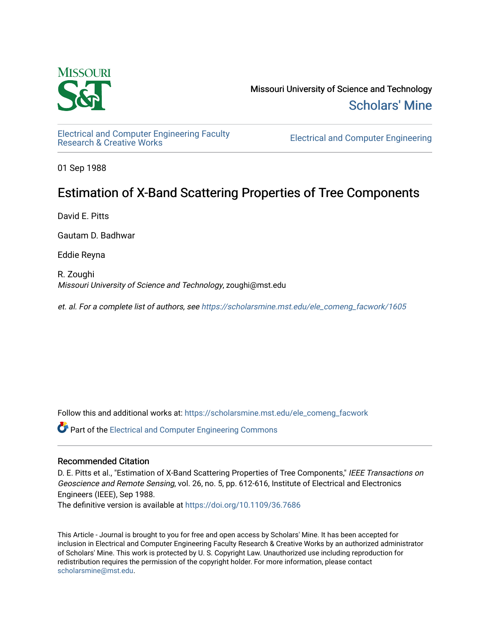

Missouri University of Science and Technology [Scholars' Mine](https://scholarsmine.mst.edu/) 

[Electrical and Computer Engineering Faculty](https://scholarsmine.mst.edu/ele_comeng_facwork)

**Electrical and Computer Engineering** 

01 Sep 1988

## Estimation of X-Band Scattering Properties of Tree Components

David E. Pitts

Gautam D. Badhwar

Eddie Reyna

R. Zoughi Missouri University of Science and Technology, zoughi@mst.edu

et. al. For a complete list of authors, see [https://scholarsmine.mst.edu/ele\\_comeng\\_facwork/1605](https://scholarsmine.mst.edu/ele_comeng_facwork/1605) 

Follow this and additional works at: [https://scholarsmine.mst.edu/ele\\_comeng\\_facwork](https://scholarsmine.mst.edu/ele_comeng_facwork?utm_source=scholarsmine.mst.edu%2Fele_comeng_facwork%2F1605&utm_medium=PDF&utm_campaign=PDFCoverPages)

**C** Part of the Electrical and Computer Engineering Commons

### Recommended Citation

D. E. Pitts et al., "Estimation of X-Band Scattering Properties of Tree Components," IEEE Transactions on Geoscience and Remote Sensing, vol. 26, no. 5, pp. 612-616, Institute of Electrical and Electronics Engineers (IEEE), Sep 1988.

The definitive version is available at <https://doi.org/10.1109/36.7686>

This Article - Journal is brought to you for free and open access by Scholars' Mine. It has been accepted for inclusion in Electrical and Computer Engineering Faculty Research & Creative Works by an authorized administrator of Scholars' Mine. This work is protected by U. S. Copyright Law. Unauthorized use including reproduction for redistribution requires the permission of the copyright holder. For more information, please contact [scholarsmine@mst.edu.](mailto:scholarsmine@mst.edu)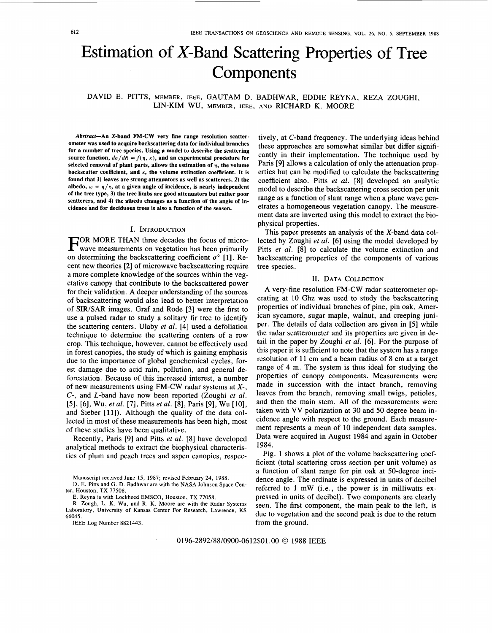# Estimation of X-Band Scattering Properties of Tree **Components**

DAVID E. PITTS, MEMBER, IEEE, GAUTAM D. BADHWAR, EDDIE REYNA, REZA ZOUGHI, LIN-KIM wu, MEMBER, IEEE, AND RICHARD K. MOORE

**Abstract-An X-band FM-CW very fine range resolution scatterometer was used to acquire backscattering data for individual branches for a number of tree species. Using a model to describe the scattering**  source function,  $d\sigma/dR = f(\eta, \kappa)$ , and an experimental procedure for selected removal of plant parts, allows the estimation of  $\eta$ , the volume **backscatter coefficient, and** *K,* **the volume extinction coefficient. It is found that 1) leaves are strong attenuators as well as scatterers, 2) the**  albedo,  $\omega = \frac{\eta}{k}$ , at a given angle of incidence, is nearly independent **of the tree type, 3) the tree limbs are good attenuators but rather poor scatterers, and 4) the albedo changes as a function of the angle of incidence and for deciduous trees is also a function of the season.** 

#### I. INTRODUCTION

**FOR MORE THAN three decades the focus of micro-** wave measurements on vegetation has been primarily on determining the backscattering coefficient  $\sigma^{\circ}$  [1]. Recent new theories [2] of microwave backscattering require a more complete knowledge of the sources within the vegetative canopy that contribute to the backscattered power for their validation. A deeper understanding of the sources of backscattering would also lead to better interpretation of SIR/SAR images. Graf and Rode [3] were the first to use a pulsed radar to study a solitary fir tree to identify the scattering centers. Ulaby *et al.* [4] used a defoliation technique to determine the scattering centers of a row crop. This technique, however, cannot be effectively used in forest canopies, the study of which is gaining emphasis due to the importance of global geochemical cycles, forest damage due to acid rain, pollution, and general deforestation. Because of this increased interest, a number of new measurements using FM-CW radar systems at X-, C-, and L-band have now been reported (Zoughi *et al.*  [5], [6], Wu, *et al.* [7], Pitts *et al.* [8], Paris [9], Wu [lo], and Sieber [ll]). Although the quality of the data collected in most of these measurements has been high, most of these studies have been qualitative.

Recently, Paris [9] and Pitts *et al.* **[8]** have developed analytical methods to extract the biophysical characteristics of plum and peach trees and aspen canopies, respec-

IEEE Log Number 8821443.

tively, at C-band frequency. The underlying ideas behind these approaches are somewhat similar but differ significantly in their implementation. The technique used by Paris [9] allows a calculation of only the attenuation properties but can be modified to calculate the backscattering coefficient also. Pitts *et al.* **[8]** developed an analytic model to describe the backscattering cross section per unit range as a function of slant range when a plane wave penetrates a homogeneous vegetation canopy. The measurement data are inverted using this model to extract the biophysical properties.

This paper presents an analysis of the X-band data collected by Zoughi *et al.* [6] using the model developed by Pitts *et al.* [8] to calculate the volume extinction and backscattering properties of the components of various tree species.

#### II. DATA COLLECTION

A very-fine resolution FM-CW radar scatterometer operating at 10 Ghz was used to study the backscattering properties of individual branches of pine, pin oak, American sycamore, sugar maple, walnut, and creeping juniper. The details of data collection are given in [5] while the radar scatterometer and its properties are given in detail in the paper by Zoughi *et al.* [6]. For the purpose of this paper it is sufficient to note that the system has a range resolution of 11 cm and a beam radius of **8** cm at a target range of 4 m. The system is thus ideal for studying the properties of canopy components. Measurements were made in succession with the intact branch, removing leaves from the branch, removing small twigs, petioles, and then the main stem. All of the measurements were taken with VV polarization at 30 and 50 degree beam incidence angle with respect to the ground. Each measurement represents a mean of 10 independent data samples. Data were acquired in August 1984 and again in October 1984.

[Fig. 1](#page-2-0) shows a plot of the volume backscattering coefficient (total scattering cross section per unit volume) as a function of slant range for pin oak at 50-degree incidence angle. The ordinate is expressed in units of decibel referred to 1 mW (i.e., the power is in milliwatts expressed in units of decibel). Two components are clearly seen. The first component, the main peak to the left, is due to vegetation and the second peak is due to the return from the ground.

0196-2892/88/0900-0612\$01.00 © 1988 IEEE

Manuscript received June **15,** 1987; revised February 24, 1988.

**D.** E. Pitts and G. **D.** Badhwar are with the NASA Johnson Space Center, Houston, TX 77508.

E. Reyna is with Lockheed EMSCO, Houston, TX 77058.

R. Zough, L. K. Wu, and R. K. Moore are with the Radar Systems Laboratory, University of Kansas Center For Research, Lawrence, KS 66045.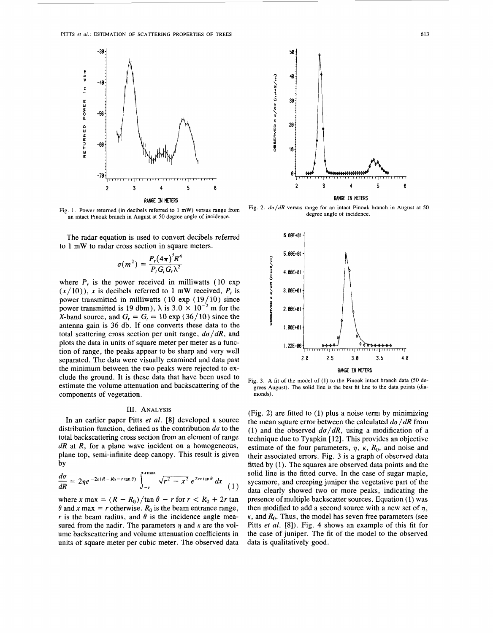<span id="page-2-0"></span>

**Fig. 1. Power returned (in decibels referred to 1** mW) **versus range** from **an intact Pinoak branch in August at** *50* **degree angle** of **incidence.** 

The radar equation is used to convert decibels referred to **1** mW to radar cross section in square meters.

$$
\sigma(m^2) = \frac{P_r(4\pi)^3 R^4}{P_r G_r G_r \lambda^2}
$$

where  $P_r$  is the power received in milliwatts (10 exp  $(x/10)$ , x is decibels referred to 1 mW received,  $P_t$  is power transmitted in milliwatts  $(10 \exp (19/10))$  since power transmitted is 19 dbm),  $\lambda$  is  $3.0 \times 10^{-2}$  m for the X-band source, and  $G_r = G_t = 10 \exp (36/10)$  since the antenna gain is **36** db. If one converts these data to the total scattering cross section per unit range,  $d\sigma/dR$ , and plots the data in units of square meter per meter as a function of range, the peaks appear to be sharp and very well separated. The data were visually examined and data past the minimum between the two peaks were rejected to exclude the ground. It is these data that have been used to estimate the volume attenuation and backscattering of the components of vegetation.

#### 111. **ANALYSIS**

In an earlier paper Pitts et *al.* **[8]** developed a source distribution function, defined as the contribution  $d\sigma$  to the total backscattering cross section from an element of range  $dR$  at  $R$ , for a plane wave incident on a homogeneous, plane top, semi-infinite deep canopy. This result is given by

$$
\frac{d\sigma}{dR} = 2\eta e^{-2\kappa (R-R_0-r\tan\theta)} \int_{-r}^{x \max} \sqrt{r^2 - x^2} e^{2\kappa x \tan\theta} dx
$$
 (1)

where *x* max =  $(R - R_0)/\tan \theta - r$  for  $r < R_0 + 2r \tan \theta$  $\theta$  and *x* max = *r* otherwise.  $R_0$  is the beam entrance range, *r* is the beam radius, and  $\theta$  is the incidence angle measured from the nadir. The parameters  $\eta$  and  $\kappa$  are the volume backscattering and volume attenuation coefficients in units of square meter per cubic meter. The observed data



Fig. 2.  $d\sigma/dR$  versus range for an intact Pinoak branch in August at 50 **degree angle of incidence.** 



**Fig. 3. A fit of the model of (1) to the Pinoak intact branch data (50 degrees August). The solid line is the best fit line to the data points (diamonds).** 

(Fig. 2) are fitted to (1) plus a noise term by minimizing the mean square error between the calculated  $d\sigma/dR$  from (1) and the observed  $d\sigma/dR$ , using a modification of a technique due to Tyapkin [12]. This provides an objective estimate of the four parameters,  $\eta$ ,  $\kappa$ ,  $R_0$ , and noise and their associated errors. Fig. **3** is a graph of observed data fitted by (1). The squares are observed data points and the solid line is the fitted curve. In the case of sugar maple, sycamore, and creeping juniper the vegetative part of the data clearly showed two or more peaks, indicating the presence of multiple backscatter sources. Equation **(1)** was then modified to add a second source with a new set of  $\eta$ ,  $\kappa$ , and  $R_0$ . Thus, the model has seven free parameters (see Pitts *et al.* [8]). Fig. 4 shows an example of this fit for the case of juniper. The fit of the model to the observed data is qualitatively good.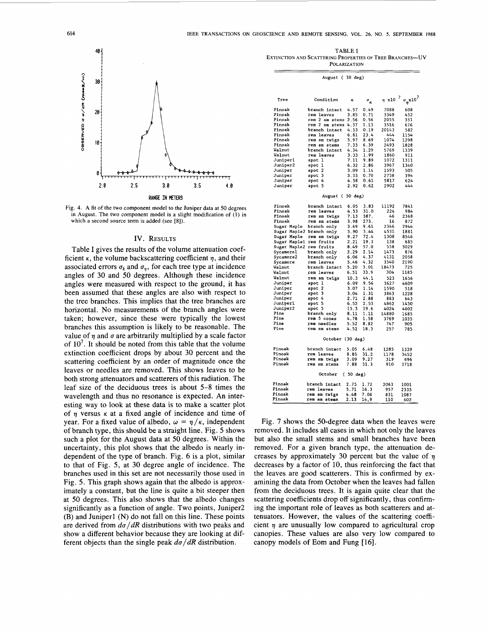

**Fig. 4. A fit of the two component model to the Juniper data at 50 degrees in August. The two component model is a slight modification of** (1) **in which** a **second source term is added (see [8]).** 

#### **IV. RESULTS**

Table I gives the results of the volume attenuation coefficient  $\kappa$ , the volume backscattering coefficient  $\eta$ , and their associated errors  $\sigma_k$  and  $\sigma_{\eta}$ , for each tree type at incidence angles of 30 and 50 degrees. Although these incidence angles were measured with respect to the ground, it has been assumed that these angles are also with respect to the tree branches. This implies that the tree branches are horizontal. No measurements of the branch angles were taken; however, since these were typically the lowest branches this assumption is likely to be reasonable. The value of  $n$  and  $\sigma$  are arbitrarily multiplied by a scale factor of  $10^7$ . It should be noted from this table that the volume extinction coefficient drops by about 30 percent and the scattering coefficient by an order of magnitude once the leaves or needles are removed. This shows leaves to be both strong attenuators and scatterers of this radiation. The leaf size of the deciduous trees is about 5-8 times the wavelength and thus no resonance is expected. An interesting way to look at these data is to make a scatter plot of  $\eta$  versus  $\kappa$  at a fixed angle of incidence and time of year. For a fixed value of albedo,  $\omega = \eta / \kappa$ , independent of branch type, this should be **a** straight line. Fig. *5* shows such a plot for the August data at 50 degrees. Within the uncertainty, this plot shows that the albedo **is** nearly independent of the type of branch. Fig. 6 is a plot, similar to that of Fig. *5,* at **30** degree angle of incidence. The branches used in this set are not necessarily those used in Fig. *5.* This graph shows again that the albedo is approximately a constant, but the line is quite a bit steeper then at 50 degrees. This also shows that the albedo changes significantly as a function of angle. Two points, Juniper2 (B) and Juniperl (N) do not fall on this line. These points are derived from  $d\sigma/dR$  distributions with two peaks and show a different behavior because they are looking at different objects than the single peak  $d\sigma/dR$  distribution.

| <b>TABLE I</b>                                            |
|-----------------------------------------------------------|
| EXTINCTION AND SCATTERING PROPERTIES OF TREE BRANCHES--UV |
| <b>POLARIZATION</b>                                       |

| August (30 deg)               |                     |      |                   |                  |                                      |  |
|-------------------------------|---------------------|------|-------------------|------------------|--------------------------------------|--|
|                               |                     |      |                   |                  |                                      |  |
| Tree                          | Condition           | ĸ    | $\sigma_{\kappa}$ | $\eta \times 10$ | $\frac{7}{9}$ $\sigma_p \times 10^7$ |  |
| Pinoak                        | branch intact       | 4.57 | 0.49              | 7088             | 608                                  |  |
| Pinoak                        | rem leaves          | 3.85 | 0.71              | 3349             | 452                                  |  |
| Pinoak                        | rem 2 sm stems      | 2.56 | 0.56              | 2055             | 351                                  |  |
| Pinoak                        | rem 2 sm stems 4.37 |      | 1.13              | 3516             | 676                                  |  |
| Pinoak                        | branch intact       | 4.53 | 0.19              | 20143            | 582                                  |  |
| Pinoak                        | rem leaves          | 6.81 | 23.4              | 444              | 1154                                 |  |
| Pinoak                        | rem sm twigs        | 5.97 | 8.69              | 1074             | 1298                                 |  |
| Pinoak                        | rem sm stems        | 7.33 | 6.39              | 2493             | 1828                                 |  |
| Walnut                        | branch intact       | 4.34 | 1.29              | 5769             | 1339                                 |  |
| Walnut                        | rem leaves          | 3.33 | 1.99              | 1860             | 911                                  |  |
| Juniperl                      | spot 1              | 7.11 | 9.89              | 1072             | 1311                                 |  |
| Juniper2                      | spot 1              | 6.32 | 2.86              | 3967             | 1340                                 |  |
| Juniper                       | spot 2              | 3.09 | 1.14              | 1593             | 505                                  |  |
| Juniper                       | spot 3              | 3.33 | 0.70              | 2758             | 394                                  |  |
| Juniper                       | spot 4              | 4.58 | 0.61              | 5817             | 624                                  |  |
| Juniper                       | spot 5              | 2.92 | 0.62              | 2902             | 444                                  |  |
| August (50 deg)               |                     |      |                   |                  |                                      |  |
| Pinoak                        | branch intact       | 6.05 | 3.83              | 11192            | 7841                                 |  |
| Pinoak                        | rem leaves          | 4.53 | 31.0              | 224              | 984                                  |  |
| Pinoak                        | rem sm twigs        | 7.13 | 387.              | 46               | 2368                                 |  |
| Pinoak                        | rem sm stems        | 3.98 | 273.              | 16               | 872                                  |  |
| Sugar Maple                   | branch only         | 3.69 | 9.61              | 2346             | 2944                                 |  |
| Sugar Maple2 branch only      |                     | 5.90 | 5.44              | 4531             | 1881                                 |  |
| Sugar Maple                   | rem sm twigs        | 9.27 | 72.4              | 1308             | 8546                                 |  |
| Sugar Maplel                  | rem fruits          | 2.21 | 19.3              | 138              | 685                                  |  |
| Sugar Maple2 rem fruits       |                     | 8.49 | 57.0              | 558              | 3029                                 |  |
| Sycamorel                     | branch only         | 2.29 | 2.14              | 1473             | 876                                  |  |
| Sycamore2                     | branch only         | 6.06 | 4.37              | 4131             | 2058                                 |  |
| Sycamore                      | rem leaves          | 5.46 | 4.32              | 3540             | 2190                                 |  |
| Walnut                        | branch intact       | 5.20 | 3.01              | 18473            | 725                                  |  |
| Walnut                        | rem leaves          | 6.51 | 33.9              | 304              | 1185                                 |  |
| Walnut                        | rem sm twigs        | 10.3 | 44.1              | 523              | 1656                                 |  |
| Juniper                       | spot l              | 6.09 | 9.56              | 3627             | 4609                                 |  |
| Juniper                       | spot 2              | 3.07 | 1.14              | 1590             | 518                                  |  |
| Juniper                       | spot 3              | 3.04 | 1.31              | 3863             | 1228                                 |  |
| Juniper                       | spot 4              | 2.71 | 2.88              | 883              | 643                                  |  |
| Juniperl                      | spot 5              | 6.52 | 2.53              | 4862             | 1430                                 |  |
| <b>Juniper2</b>               | spot 5              | 15.3 | 19.6              | 4024             | 4602                                 |  |
| Pine                          | branch only         | 8.11 | 1.11              | 14880            | 1685                                 |  |
| Pine                          | rem 5 cones         | 4.78 | 1.58              | 3769             | 1035                                 |  |
| Pine                          | rem needles         | 5.52 | 8.82              | 747              | 905                                  |  |
| Pine                          | rem sm stems        | 4.52 | 18.3              | 257              | 785                                  |  |
| October (30 deg)              |                     |      |                   |                  |                                      |  |
| Pinoak                        | branch intact       | 5.05 | 6.48              | 1285             | 1339                                 |  |
| Pinoak                        | rem leaves          | 8.85 | 31.2              | 1178             | 3452                                 |  |
| Pinoak                        | rem sm twigs        | 3.09 | 9.27              | 319              | 696                                  |  |
| Pinoak                        | rem sm stems        | 7.88 | 31.3              | 910              | 3718                                 |  |
| $(50 \text{ deg})$<br>October |                     |      |                   |                  |                                      |  |
| Pinoak                        | branch intact       | 2.75 | 1.72              | 2063             | 1001                                 |  |
| Pinoak                        | rem leaves          | 5.71 | 16.3              | 957              | 2335                                 |  |
| Pinoak                        | rem sm twigs        | 4.48 | 7.06              | 831              | 1087                                 |  |
| Pinoak                        | rem sm stems        | 2.13 | 14,9              | 110              | 602                                  |  |

Fig. 7 shows the 50-degree data when the leaves were removed. It includes all cases in which not only the leaves but also the small stems and small branches have been removed. For a given branch type, the attenuation decreases by approximately 30 percent but the value of  $\eta$ decreases by a factor of 10, thus reinforcing the fact that the leaves are good scatterers. This is confirmed by examining the data from October when the leaves had fallen from the deciduous trees. It is again quite clear that the scattering coefficients drop off significantly, thus confirming the important role of leaves as both scatterers and attenuators. However, the values of the scattering coefficient  $\eta$  are unusually low compared to agricultural crop canopies. These values are also very low compared to canopy models of Eom and Fung [16].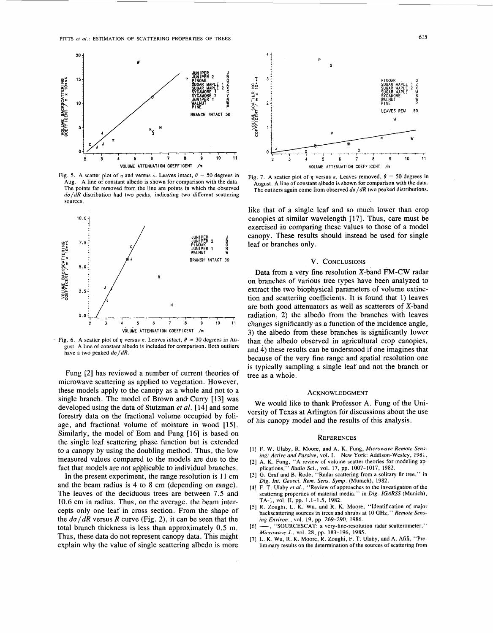

Fig. 5. A scatter plot of  $\eta$  and versus  $\kappa$ . Leaves intact,  $\theta = 50$  degrees in Aug. A line of constant albedo is shown for comparison with the data. The points far removed from the line are points in which the observed  $d\sigma/dR$  distribution had two peaks, indicating two different scattering sources.



Fig. 6. A scatter plot of  $\eta$  versus  $\kappa$ . Leaves intact,  $\theta = 30$  degrees in August. A line of constant albedo is included for comparison. Both outliers have a two peaked  $d\sigma/dR$ .

Fung [2] has reviewed a number of current theories of microwave scattering as applied to vegetation. However, these models apply to the canopy as a whole and not to a single branch. The model of Brown and Curry [13] was developed using the data of Stutzman *et al.* [14] and some forestry data on the fractional volume occupied by foliage, and fractional volume of moisture in wood [15]. Similarly, the model of Eom and Fung [16] is based on the single leaf scattering phase function but is extended to a canopy by using the doubling method. Thus, the low measured values compared to the models are due to the fact that models are not applicable to individual branches.

In the present experiment, the range resolution is 11 cm and the beam radius is 4 to 8 cm (depending on range). The leaves of the deciduous trees are between 7.5 and 10.6 cm in radius. Thus, on the average, the beam intercepts only one leaf in cross section. From the shape of the *da/dR* versus R curve (Fig. **Z),** it can be seen that the total branch thickness is less than approximately 0.5 m. Thus, these data do not represent canopy data. This might explain why the value of single scattering albedo is more





like that of a single leaf and so much lower than crop canopies at similar wavelength [17]. Thus, care must be exercised in comparing these values to those of a model canopy. These results should instead be used for single leaf or branches only.

#### V. CONCLUSIONS

Data from a very fine resolution X-band FM-CW radar on branches of various tree types have been analyzed to extract the two biophysical parameters of volume extinction and scattering coefficients. It is found that 1) leaves are both good attenuators as well as scatterers of X-band radiation, 2) the albedo from the branches with leaves changes significantly as a function of the incidence angle, 3) the albedo from these branches is significantly lower than the albedo observed in agricultural crop canopies, and 4) these results can be understood if one imagines that because of the very fine range and spatial resolution one is typically sampling a single leaf and not the branch or tree as a whole.

#### ACKNOWLEDGMENT

We would like to thank Professor A. Fung of the University of Texas at Arlington for discussions about the use of his canopy model and the results of this analysis.

#### **REFERENCES**

- [I] F. W. Ulaby, R. Moore, and A. K. Fung, *Microwave Remote Sensing: Acrive and Passive,* vol. **1.** New York: Addison-Wesley, 1981.
- [2] A. K. Fung, "A review of volume scatter theories for modeling ap-plications," *Radio Sci.,* vol. 17, pp. 1007-1017, 1982.
- [3] G. Graf and B. Rode, "Radar scattering from a solitary fir tree," in *Dig. Int. Geosci. Rem. Sens. Symp.* (Munich), 1982.
- **[4]** F. T. Ulaby *er al.,* "Review of approaches to the investigation of the scattering properties of material media," in *Dig. IGARSS* (Munich), TA-1, vol. **11,** pp. 1.1-1.5, 1982.
- *[5]* R. Zoughi, L. K. Wu, and R. K. Moore, "Identification of major backscattering sources in trees and shrubs at 10 **GHz,"** *Remote Sensing Environ.,* vol. 19, pp. 269-290, 1986.
- [6] -, "SOURCESCAT: a very-fine-resolution radar scatterometer,"
- *Microwave J.,* vol. 28, pp. 183-196, 1985. [7] L. K. Wu, R. K. Moore, **R.** Zoughi, F. T. Ulaby, and A. Afifi, "Preliminary results on the determination of the sources of scattering from